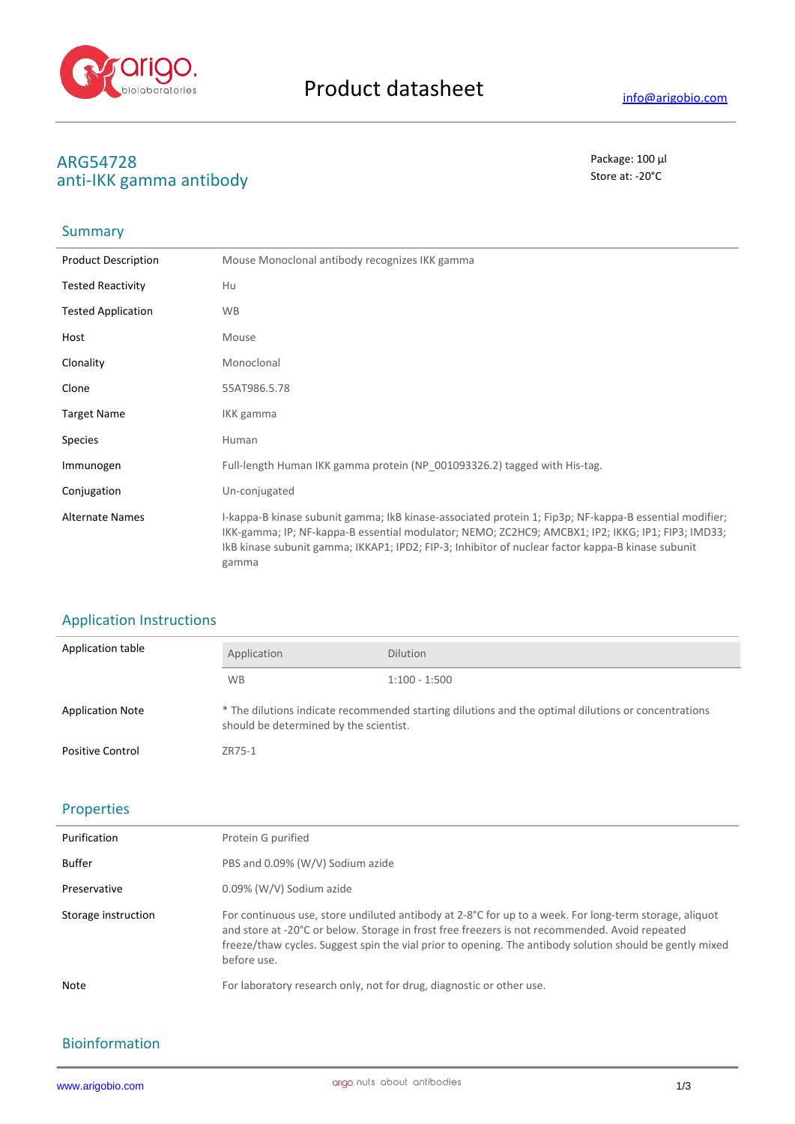

# **ARG54728** Package: 100 μl anti-IKK gamma antibody

## Summary

| <b>Product Description</b> | Mouse Monoclonal antibody recognizes IKK gamma                                                                                                                                                                                                                                                                            |
|----------------------------|---------------------------------------------------------------------------------------------------------------------------------------------------------------------------------------------------------------------------------------------------------------------------------------------------------------------------|
| <b>Tested Reactivity</b>   | Hu                                                                                                                                                                                                                                                                                                                        |
| <b>Tested Application</b>  | <b>WB</b>                                                                                                                                                                                                                                                                                                                 |
| Host                       | Mouse                                                                                                                                                                                                                                                                                                                     |
| Clonality                  | Monoclonal                                                                                                                                                                                                                                                                                                                |
| Clone                      | 55AT986.5.78                                                                                                                                                                                                                                                                                                              |
| <b>Target Name</b>         | IKK gamma                                                                                                                                                                                                                                                                                                                 |
| <b>Species</b>             | Human                                                                                                                                                                                                                                                                                                                     |
| Immunogen                  | Full-length Human IKK gamma protein (NP 001093326.2) tagged with His-tag.                                                                                                                                                                                                                                                 |
| Conjugation                | Un-conjugated                                                                                                                                                                                                                                                                                                             |
| <b>Alternate Names</b>     | I-kappa-B kinase subunit gamma; IkB kinase-associated protein 1; Fip3p; NF-kappa-B essential modifier;<br>IKK-gamma; IP; NF-kappa-B essential modulator; NEMO; ZC2HC9; AMCBX1; IP2; IKKG; IP1; FIP3; IMD33;<br>IkB kinase subunit gamma; IKKAP1; IPD2; FIP-3; Inhibitor of nuclear factor kappa-B kinase subunit<br>gamma |

## Application Instructions

| Application table       | Application                            | <b>Dilution</b>                                                                                     |
|-------------------------|----------------------------------------|-----------------------------------------------------------------------------------------------------|
|                         | <b>WB</b>                              | $1:100 - 1:500$                                                                                     |
| <b>Application Note</b> | should be determined by the scientist. | * The dilutions indicate recommended starting dilutions and the optimal dilutions or concentrations |
| <b>Positive Control</b> | ZR75-1                                 |                                                                                                     |

#### Properties

| Purification        | Protein G purified                                                                                                                                                                                                                                                                                                                  |
|---------------------|-------------------------------------------------------------------------------------------------------------------------------------------------------------------------------------------------------------------------------------------------------------------------------------------------------------------------------------|
| Buffer              | PBS and 0.09% (W/V) Sodium azide                                                                                                                                                                                                                                                                                                    |
| Preservative        | 0.09% (W/V) Sodium azide                                                                                                                                                                                                                                                                                                            |
| Storage instruction | For continuous use, store undiluted antibody at 2-8°C for up to a week. For long-term storage, aliquot<br>and store at -20°C or below. Storage in frost free freezers is not recommended. Avoid repeated<br>freeze/thaw cycles. Suggest spin the vial prior to opening. The antibody solution should be gently mixed<br>before use. |
| <b>Note</b>         | For laboratory research only, not for drug, diagnostic or other use.                                                                                                                                                                                                                                                                |

### Bioinformation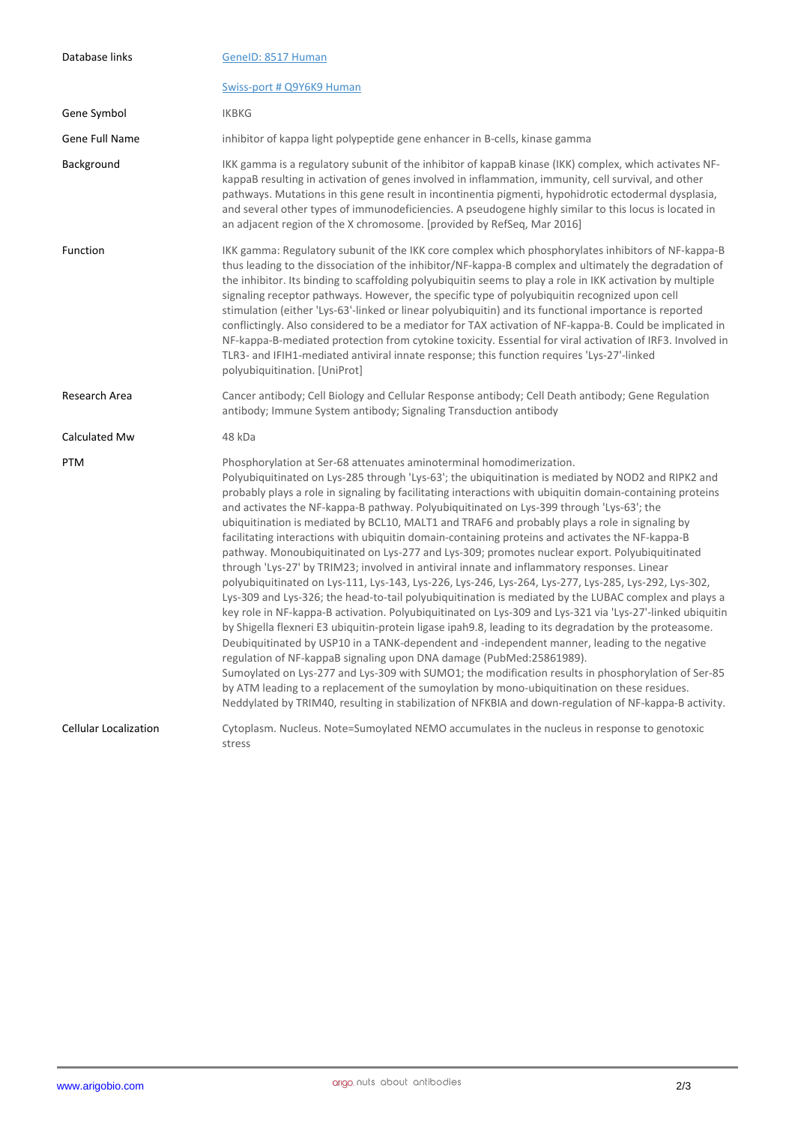| Database links               | GeneID: 8517 Human                                                                                                                                                                                                                                                                                                                                                                                                                                                                                                                                                                                                                                                                                                                                                                                                                                                                                                                                                                                                                                                                                                                                                                                                                                                                                                                                                                                                                                                                                                                                                                                                                                                                                                             |
|------------------------------|--------------------------------------------------------------------------------------------------------------------------------------------------------------------------------------------------------------------------------------------------------------------------------------------------------------------------------------------------------------------------------------------------------------------------------------------------------------------------------------------------------------------------------------------------------------------------------------------------------------------------------------------------------------------------------------------------------------------------------------------------------------------------------------------------------------------------------------------------------------------------------------------------------------------------------------------------------------------------------------------------------------------------------------------------------------------------------------------------------------------------------------------------------------------------------------------------------------------------------------------------------------------------------------------------------------------------------------------------------------------------------------------------------------------------------------------------------------------------------------------------------------------------------------------------------------------------------------------------------------------------------------------------------------------------------------------------------------------------------|
|                              | Swiss-port # Q9Y6K9 Human                                                                                                                                                                                                                                                                                                                                                                                                                                                                                                                                                                                                                                                                                                                                                                                                                                                                                                                                                                                                                                                                                                                                                                                                                                                                                                                                                                                                                                                                                                                                                                                                                                                                                                      |
| Gene Symbol                  | <b>IKBKG</b>                                                                                                                                                                                                                                                                                                                                                                                                                                                                                                                                                                                                                                                                                                                                                                                                                                                                                                                                                                                                                                                                                                                                                                                                                                                                                                                                                                                                                                                                                                                                                                                                                                                                                                                   |
| Gene Full Name               | inhibitor of kappa light polypeptide gene enhancer in B-cells, kinase gamma                                                                                                                                                                                                                                                                                                                                                                                                                                                                                                                                                                                                                                                                                                                                                                                                                                                                                                                                                                                                                                                                                                                                                                                                                                                                                                                                                                                                                                                                                                                                                                                                                                                    |
| Background                   | IKK gamma is a regulatory subunit of the inhibitor of kappaB kinase (IKK) complex, which activates NF-<br>kappaB resulting in activation of genes involved in inflammation, immunity, cell survival, and other<br>pathways. Mutations in this gene result in incontinentia pigmenti, hypohidrotic ectodermal dysplasia,<br>and several other types of immunodeficiencies. A pseudogene highly similar to this locus is located in<br>an adjacent region of the X chromosome. [provided by RefSeq, Mar 2016]                                                                                                                                                                                                                                                                                                                                                                                                                                                                                                                                                                                                                                                                                                                                                                                                                                                                                                                                                                                                                                                                                                                                                                                                                    |
| Function                     | IKK gamma: Regulatory subunit of the IKK core complex which phosphorylates inhibitors of NF-kappa-B<br>thus leading to the dissociation of the inhibitor/NF-kappa-B complex and ultimately the degradation of<br>the inhibitor. Its binding to scaffolding polyubiquitin seems to play a role in IKK activation by multiple<br>signaling receptor pathways. However, the specific type of polyubiquitin recognized upon cell<br>stimulation (either 'Lys-63'-linked or linear polyubiquitin) and its functional importance is reported<br>conflictingly. Also considered to be a mediator for TAX activation of NF-kappa-B. Could be implicated in<br>NF-kappa-B-mediated protection from cytokine toxicity. Essential for viral activation of IRF3. Involved in<br>TLR3- and IFIH1-mediated antiviral innate response; this function requires 'Lys-27'-linked<br>polyubiquitination. [UniProt]                                                                                                                                                                                                                                                                                                                                                                                                                                                                                                                                                                                                                                                                                                                                                                                                                                |
| Research Area                | Cancer antibody; Cell Biology and Cellular Response antibody; Cell Death antibody; Gene Regulation<br>antibody; Immune System antibody; Signaling Transduction antibody                                                                                                                                                                                                                                                                                                                                                                                                                                                                                                                                                                                                                                                                                                                                                                                                                                                                                                                                                                                                                                                                                                                                                                                                                                                                                                                                                                                                                                                                                                                                                        |
| Calculated Mw                | 48 kDa                                                                                                                                                                                                                                                                                                                                                                                                                                                                                                                                                                                                                                                                                                                                                                                                                                                                                                                                                                                                                                                                                                                                                                                                                                                                                                                                                                                                                                                                                                                                                                                                                                                                                                                         |
| <b>PTM</b>                   | Phosphorylation at Ser-68 attenuates aminoterminal homodimerization.<br>Polyubiquitinated on Lys-285 through 'Lys-63'; the ubiquitination is mediated by NOD2 and RIPK2 and<br>probably plays a role in signaling by facilitating interactions with ubiquitin domain-containing proteins<br>and activates the NF-kappa-B pathway. Polyubiquitinated on Lys-399 through 'Lys-63'; the<br>ubiquitination is mediated by BCL10, MALT1 and TRAF6 and probably plays a role in signaling by<br>facilitating interactions with ubiquitin domain-containing proteins and activates the NF-kappa-B<br>pathway. Monoubiquitinated on Lys-277 and Lys-309; promotes nuclear export. Polyubiquitinated<br>through 'Lys-27' by TRIM23; involved in antiviral innate and inflammatory responses. Linear<br>polyubiquitinated on Lys-111, Lys-143, Lys-226, Lys-246, Lys-264, Lys-277, Lys-285, Lys-292, Lys-302,<br>Lys-309 and Lys-326; the head-to-tail polyubiquitination is mediated by the LUBAC complex and plays a<br>key role in NF-kappa-B activation. Polyubiquitinated on Lys-309 and Lys-321 via 'Lys-27'-linked ubiquitin<br>by Shigella flexneri E3 ubiquitin-protein ligase ipah9.8, leading to its degradation by the proteasome.<br>Deubiquitinated by USP10 in a TANK-dependent and -independent manner, leading to the negative<br>regulation of NF-kappaB signaling upon DNA damage (PubMed:25861989).<br>Sumoylated on Lys-277 and Lys-309 with SUMO1; the modification results in phosphorylation of Ser-85<br>by ATM leading to a replacement of the sumoylation by mono-ubiquitination on these residues.<br>Neddylated by TRIM40, resulting in stabilization of NFKBIA and down-regulation of NF-kappa-B activity. |
| <b>Cellular Localization</b> | Cytoplasm. Nucleus. Note=Sumoylated NEMO accumulates in the nucleus in response to genotoxic<br>stress                                                                                                                                                                                                                                                                                                                                                                                                                                                                                                                                                                                                                                                                                                                                                                                                                                                                                                                                                                                                                                                                                                                                                                                                                                                                                                                                                                                                                                                                                                                                                                                                                         |